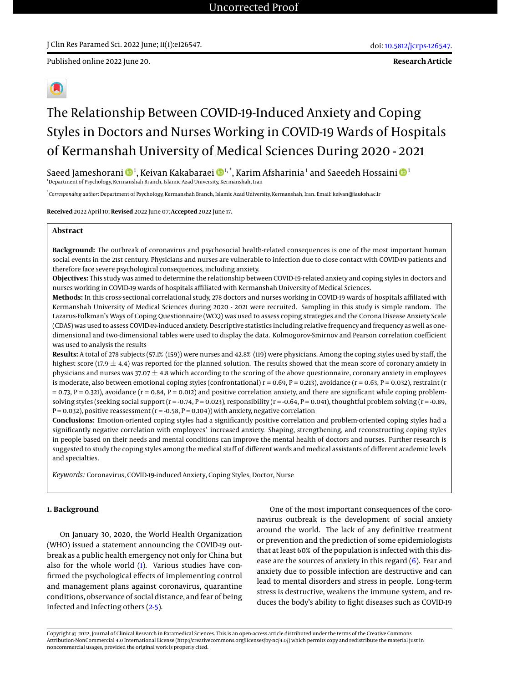Published online 2022 June 20.



# The Relationship Between COVID-19-Induced Anxiety and Coping Styles in Doctors and Nurses Working in COVID-19 Wards of Hospitals of Kermanshah University of Medical Sciences During 2020 - 2021

Saeed Jameshorani ��4, Keivan Kakabaraei ��4,\*, Karim Afsharinia 1 and Saeedeh Hossaini �� <sup>1</sup>Department of Psychology, Kermanshah Branch, Islamic Azad University, Kermanshah, Iran

\* *Corresponding author*: Department of Psychology, Kermanshah Branch, Islamic Azad University, Kermanshah, Iran. Email: keivan@iauksh.ac.ir

**Received** 2022 April 10; **Revised** 2022 June 07; **Accepted** 2022 June 17.

# **Abstract**

**Background:** The outbreak of coronavirus and psychosocial health-related consequences is one of the most important human social events in the 21st century. Physicians and nurses are vulnerable to infection due to close contact with COVID-19 patients and therefore face severe psychological consequences, including anxiety.

**Objectives:** This study was aimed to determine the relationship between COVID-19-related anxiety and coping styles in doctors and nurses working in COVID-19 wards of hospitals affiliated with Kermanshah University of Medical Sciences.

**Methods:** In this cross-sectional correlational study, 278 doctors and nurses working in COVID-19 wards of hospitals affiliated with Kermanshah University of Medical Sciences during 2020 - 2021 were recruited. Sampling in this study is simple random. The Lazarus-Folkman's Ways of Coping Questionnaire (WCQ) was used to assess coping strategies and the Corona Disease Anxiety Scale (CDAS) was used to assess COVID-19-induced anxiety. Descriptive statistics including relative frequency and frequency as well as onedimensional and two-dimensional tables were used to display the data. Kolmogorov-Smirnov and Pearson correlation coefficient was used to analysis the results

**Results:** A total of 278 subjects (57.1% (159)) were nurses and 42.8% (119) were physicians. Among the coping styles used by staff, the highest score (17.9  $\pm$  4.4) was reported for the planned solution. The results showed that the mean score of coronary anxiety in physicians and nurses was 37.07  $\pm$  4.8 which according to the scoring of the above questionnaire, coronary anxiety in employees is moderate, also between emotional coping styles (confrontational)  $r = 0.69$ ,  $P = 0.213$ ), avoidance ( $r = 0.63$ ,  $P = 0.032$ ), restraint (r  $= 0.73$ , P  $= 0.321$ ), avoidance ( $r = 0.84$ , P  $= 0.012$ ) and positive correlation anxiety, and there are significant while coping problemsolving styles (seeking social support  $(r = -0.74, P = 0.023)$ , responsibility  $(r = -0.64, P = 0.041)$ , thoughtful problem solving  $(r = -0.89, P = 0.041)$  $P = 0.032$ ), positive reassessment ( $r = -0.58$ ,  $P = 0.104$ )) with anxiety, negative correlation

**Conclusions:** Emotion-oriented coping styles had a significantly positive correlation and problem-oriented coping styles had a significantly negative correlation with employees' increased anxiety. Shaping, strengthening, and reconstructing coping styles in people based on their needs and mental conditions can improve the mental health of doctors and nurses. Further research is suggested to study the coping styles among the medical staff of different wards and medical assistants of different academic levels and specialties.

*Keywords:* Coronavirus, COVID-19-induced Anxiety, Coping Styles, Doctor, Nurse

#### **1. Background**

On January 30, 2020, the World Health Organization (WHO) issued a statement announcing the COVID-19 outbreak as a public health emergency not only for China but also for the whole world [\(1\)](#page-4-0). Various studies have confirmed the psychological effects of implementing control and management plans against coronavirus, quarantine conditions, observance of social distance, and fear of being infected and infecting others [\(2-](#page-4-1)[5\)](#page-5-0).

One of the most important consequences of the coronavirus outbreak is the development of social anxiety around the world. The lack of any definitive treatment or prevention and the prediction of some epidemiologists that at least 60% of the population is infected with this disease are the sources of anxiety in this regard  $(6)$ . Fear and anxiety due to possible infection are destructive and can lead to mental disorders and stress in people. Long-term stress is destructive, weakens the immune system, and reduces the body's ability to fight diseases such as COVID-19

Copyright © 2022, Journal of Clinical Research in Paramedical Sciences. This is an open-access article distributed under the terms of the Creative Commons Attribution-NonCommercial 4.0 International License (http://creativecommons.org/licenses/by-nc/4.0/) which permits copy and redistribute the material just in noncommercial usages, provided the original work is properly cited.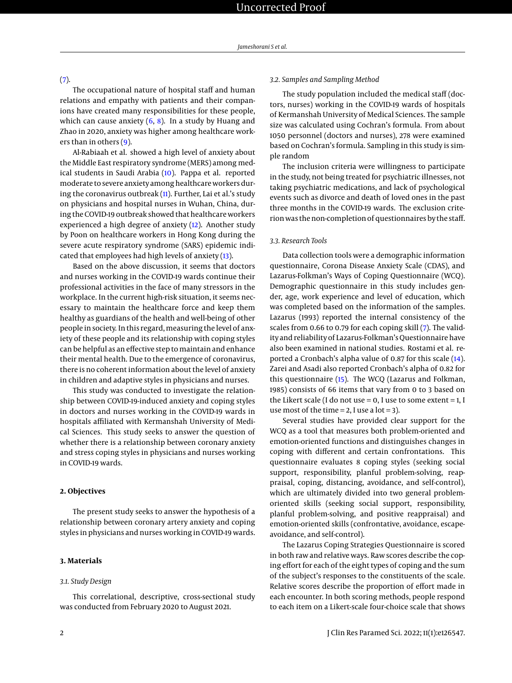# [\(7\)](#page-5-2).

The occupational nature of hospital staff and human relations and empathy with patients and their companions have created many responsibilities for these people, which can cause anxiety  $(6, 8)$  $(6, 8)$  $(6, 8)$ . In a study by Huang and Zhao in 2020, anxiety was higher among healthcare workers than in others [\(9\)](#page-5-4).

Al-Rabiaah et al. showed a high level of anxiety about the Middle East respiratory syndrome (MERS) among medical students in Saudi Arabia [\(10\)](#page-5-5). Pappa et al. reported moderate to severe anxiety among healthcare workers during the coronavirus outbreak [\(11\)](#page-5-6). Further, Lai et al.'s study on physicians and hospital nurses in Wuhan, China, during the COVID-19 outbreak showed that healthcare workers experienced a high degree of anxiety [\(12\)](#page-5-7). Another study by Poon on healthcare workers in Hong Kong during the severe acute respiratory syndrome (SARS) epidemic indicated that employees had high levels of anxiety [\(13\)](#page-5-8).

Based on the above discussion, it seems that doctors and nurses working in the COVID-19 wards continue their professional activities in the face of many stressors in the workplace. In the current high-risk situation, it seems necessary to maintain the healthcare force and keep them healthy as guardians of the health and well-being of other people in society. In this regard, measuring the level of anxiety of these people and its relationship with coping styles can be helpful as an effective step to maintain and enhance their mental health. Due to the emergence of coronavirus, there is no coherent information about the level of anxiety in children and adaptive styles in physicians and nurses.

This study was conducted to investigate the relationship between COVID-19-induced anxiety and coping styles in doctors and nurses working in the COVID-19 wards in hospitals affiliated with Kermanshah University of Medical Sciences. This study seeks to answer the question of whether there is a relationship between coronary anxiety and stress coping styles in physicians and nurses working in COVID-19 wards.

#### **2. Objectives**

The present study seeks to answer the hypothesis of a relationship between coronary artery anxiety and coping styles in physicians and nurses working in COVID-19 wards.

# **3. Materials**

# *3.1. Study Design*

This correlational, descriptive, cross-sectional study was conducted from February 2020 to August 2021.

#### *3.2. Samples and Sampling Method*

The study population included the medical staff (doctors, nurses) working in the COVID-19 wards of hospitals of Kermanshah University of Medical Sciences. The sample size was calculated using Cochran's formula. From about 1050 personnel (doctors and nurses), 278 were examined based on Cochran's formula. Sampling in this study is simple random

The inclusion criteria were willingness to participate in the study, not being treated for psychiatric illnesses, not taking psychiatric medications, and lack of psychological events such as divorce and death of loved ones in the past three months in the COVID-19 wards. The exclusion criterion was the non-completion of questionnaires by the staff.

#### *3.3. Research Tools*

Data collection tools were a demographic information questionnaire, Corona Disease Anxiety Scale (CDAS), and Lazarus-Folkman's Ways of Coping Questionnaire (WCQ). Demographic questionnaire in this study includes gender, age, work experience and level of education, which was completed based on the information of the samples. Lazarus (1993) reported the internal consistency of the scales from 0.66 to 0.79 for each coping skill [\(7\)](#page-5-2). The validity and reliability of Lazarus-Folkman's Questionnaire have also been examined in national studies. Rostami et al. reported a Cronbach's alpha value of 0.87 for this scale [\(14\)](#page-5-9). Zarei and Asadi also reported Cronbach's alpha of 0.82 for this questionnaire [\(15\)](#page-5-10). The WCQ (Lazarus and Folkman, 1985) consists of 66 items that vary from 0 to 3 based on the Likert scale (I do not use  $= 0$ , I use to some extent  $= 1$ , I use most of the time  $= 2$ , I use a lot  $= 3$ ).

Several studies have provided clear support for the WCQ as a tool that measures both problem-oriented and emotion-oriented functions and distinguishes changes in coping with different and certain confrontations. This questionnaire evaluates 8 coping styles (seeking social support, responsibility, planful problem-solving, reappraisal, coping, distancing, avoidance, and self-control), which are ultimately divided into two general problemoriented skills (seeking social support, responsibility, planful problem-solving, and positive reappraisal) and emotion-oriented skills (confrontative, avoidance, escapeavoidance, and self-control).

The Lazarus Coping Strategies Questionnaire is scored in both raw and relative ways. Raw scores describe the coping effort for each of the eight types of coping and the sum of the subject's responses to the constituents of the scale. Relative scores describe the proportion of effort made in each encounter. In both scoring methods, people respond to each item on a Likert-scale four-choice scale that shows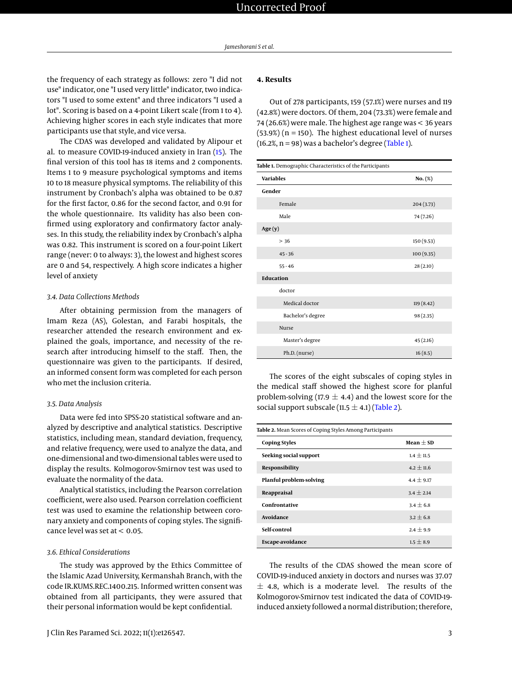the frequency of each strategy as follows: zero "I did not use" indicator, one "I used very little" indicator, two indicators "I used to some extent" and three indicators "I used a lot". Scoring is based on a 4-point Likert scale (from 1 to 4). Achieving higher scores in each style indicates that more participants use that style, and vice versa.

The CDAS was developed and validated by Alipour et al. to measure COVID-19-induced anxiety in Iran [\(15\)](#page-5-10). The final version of this tool has 18 items and 2 components. Items 1 to 9 measure psychological symptoms and items 10 to 18 measure physical symptoms. The reliability of this instrument by Cronbach's alpha was obtained to be 0.87 for the first factor, 0.86 for the second factor, and 0.91 for the whole questionnaire. Its validity has also been confirmed using exploratory and confirmatory factor analyses. In this study, the reliability index by Cronbach's alpha was 0.82. This instrument is scored on a four-point Likert range (never: 0 to always: 3), the lowest and highest scores are 0 and 54, respectively. A high score indicates a higher level of anxiety

## *3.4. Data Collections Methods*

After obtaining permission from the managers of Imam Reza (AS), Golestan, and Farabi hospitals, the researcher attended the research environment and explained the goals, importance, and necessity of the research after introducing himself to the staff. Then, the questionnaire was given to the participants. If desired, an informed consent form was completed for each person who met the inclusion criteria.

#### *3.5. Data Analysis*

Data were fed into SPSS-20 statistical software and analyzed by descriptive and analytical statistics. Descriptive statistics, including mean, standard deviation, frequency, and relative frequency, were used to analyze the data, and one-dimensional and two-dimensional tables were used to display the results. Kolmogorov-Smirnov test was used to evaluate the normality of the data.

Analytical statistics, including the Pearson correlation coefficient, were also used. Pearson correlation coefficient test was used to examine the relationship between coronary anxiety and components of coping styles. The significance level was set at  $< 0.05$ .

### *3.6. Ethical Considerations*

The study was approved by the Ethics Committee of the Islamic Azad University, Kermanshah Branch, with the code IR.KUMS.REC.1400.215. Informed written consent was obtained from all participants, they were assured that their personal information would be kept confidential.

# **4. Results**

Out of 278 participants, 159 (57.1%) were nurses and 119 (42.8%) were doctors. Of them, 204 (73.3%) were female and 74 (26.6%) were male. The highest age range was < 36 years  $(53.9%)$  (n = 150). The highest educational level of nurses  $(16.2\%, n = 98)$  was a bachelor's degree [\(Table 1\)](#page-2-0).

<span id="page-2-0"></span>

| Table 1. Demographic Characteristics of the Participants |            |  |  |  |  |
|----------------------------------------------------------|------------|--|--|--|--|
| <b>Variables</b>                                         | No. (%)    |  |  |  |  |
| Gender                                                   |            |  |  |  |  |
| Female                                                   | 204 (3.73) |  |  |  |  |
| Male                                                     | 74 (7.26)  |  |  |  |  |
| Age(y)                                                   |            |  |  |  |  |
| > 36                                                     | 150 (9.53) |  |  |  |  |
| $45 - 36$                                                | 100 (9.35) |  |  |  |  |
| $55 - 46$                                                | 28(2.10)   |  |  |  |  |
| <b>Education</b>                                         |            |  |  |  |  |
| doctor                                                   |            |  |  |  |  |
| Medical doctor                                           | 119 (8.42) |  |  |  |  |
| Bachelor's degree                                        | 98(2.35)   |  |  |  |  |
| Nurse                                                    |            |  |  |  |  |
| Master's degree                                          | 45(2.16)   |  |  |  |  |
| Ph.D. (nurse)                                            | 16(8.5)    |  |  |  |  |

The scores of the eight subscales of coping styles in the medical staff showed the highest score for planful problem-solving (17.9  $\pm$  4.4) and the lowest score for the social support subscale (11.5  $\pm$  4.1) [\(Table 2\)](#page-2-1).

<span id="page-2-1"></span>

| Table 2. Mean Scores of Coping Styles Among Participants |               |  |  |  |  |
|----------------------------------------------------------|---------------|--|--|--|--|
| <b>Coping Styles</b>                                     | $Mean + SD$   |  |  |  |  |
| Seeking social support                                   | $1.4 + 11.5$  |  |  |  |  |
| Responsibility                                           | $4.2 + 11.6$  |  |  |  |  |
| Planful problem-solving                                  | $4.4 + 9.17$  |  |  |  |  |
| Reappraisal                                              | $3.4 + 2.14$  |  |  |  |  |
| Confrontative                                            | $3.4 + 6.8$   |  |  |  |  |
| Avoidance                                                | $3.2 + 6.8$   |  |  |  |  |
| Self-control                                             | $2.4 \pm 9.9$ |  |  |  |  |
| Escape-avoidance                                         | $1.5 + 8.9$   |  |  |  |  |

The results of the CDAS showed the mean score of COVID-19-induced anxiety in doctors and nurses was 37.07  $\pm$  4.8, which is a moderate level. The results of the Kolmogorov-Smirnov test indicated the data of COVID-19 induced anxiety followed a normal distribution; therefore,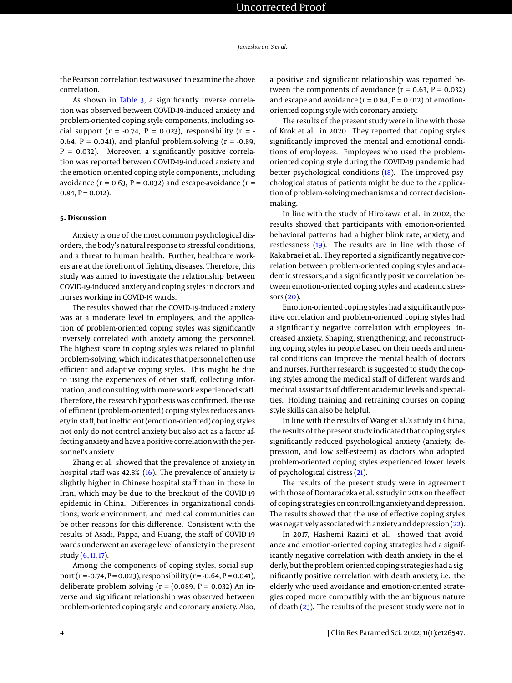the Pearson correlation test was used to examine the above correlation.

As shown in [Table 3,](#page-4-2) a significantly inverse correlation was observed between COVID-19-induced anxiety and problem-oriented coping style components, including social support ( $r = -0.74$ ,  $P = 0.023$ ), responsibility ( $r = -$ 0.64,  $P = 0.041$ ), and planful problem-solving ( $r = -0.89$ ,  $P = 0.032$ ). Moreover, a significantly positive correlation was reported between COVID-19-induced anxiety and the emotion-oriented coping style components, including avoidance ( $r = 0.63$ ,  $P = 0.032$ ) and escape-avoidance ( $r =$  $0.84, P = 0.012$ ).

#### **5. Discussion**

Anxiety is one of the most common psychological disorders, the body's natural response to stressful conditions, and a threat to human health. Further, healthcare workers are at the forefront of fighting diseases. Therefore, this study was aimed to investigate the relationship between COVID-19-induced anxiety and coping styles in doctors and nurses working in COVID-19 wards.

The results showed that the COVID-19-induced anxiety was at a moderate level in employees, and the application of problem-oriented coping styles was significantly inversely correlated with anxiety among the personnel. The highest score in coping styles was related to planful problem-solving, which indicates that personnel often use efficient and adaptive coping styles. This might be due to using the experiences of other staff, collecting information, and consulting with more work experienced staff. Therefore, the research hypothesis was confirmed. The use of efficient (problem-oriented) coping styles reduces anxiety in staff, but inefficient (emotion-oriented) coping styles not only do not control anxiety but also act as a factor affecting anxiety and have a positive correlation with the personnel's anxiety.

Zhang et al. showed that the prevalence of anxiety in hospital staff was 42.8% [\(16\)](#page-5-11). The prevalence of anxiety is slightly higher in Chinese hospital staff than in those in Iran, which may be due to the breakout of the COVID-19 epidemic in China. Differences in organizational conditions, work environment, and medical communities can be other reasons for this difference. Consistent with the results of Asadi, Pappa, and Huang, the staff of COVID-19 wards underwent an average level of anxiety in the present study [\(6,](#page-5-1) [11,](#page-5-6) [17\)](#page-5-12).

Among the components of coping styles, social support (r = -0.74, P = 0.023), responsibility (r = -0.64, P = 0.041), deliberate problem solving ( $r = (0.089, P = 0.032)$  An inverse and significant relationship was observed between problem-oriented coping style and coronary anxiety. Also,

a positive and significant relationship was reported between the components of avoidance  $(r = 0.63, P = 0.032)$ and escape and avoidance ( $r = 0.84$ ,  $P = 0.012$ ) of emotionoriented coping style with coronary anxiety.

The results of the present study were in line with those of Krok et al. in 2020. They reported that coping styles significantly improved the mental and emotional conditions of employees. Employees who used the problemoriented coping style during the COVID-19 pandemic had better psychological conditions [\(18\)](#page-5-13). The improved psychological status of patients might be due to the application of problem-solving mechanisms and correct decisionmaking.

In line with the study of Hirokawa et al. in 2002, the results showed that participants with emotion-oriented behavioral patterns had a higher blink rate, anxiety, and restlessness [\(19\)](#page-5-14). The results are in line with those of Kakabraei et al.. They reported a significantly negative correlation between problem-oriented coping styles and academic stressors, and a significantly positive correlation between emotion-oriented coping styles and academic stressors [\(20\)](#page-5-15).

Emotion-oriented coping styles had a significantly positive correlation and problem-oriented coping styles had a significantly negative correlation with employees' increased anxiety. Shaping, strengthening, and reconstructing coping styles in people based on their needs and mental conditions can improve the mental health of doctors and nurses. Further research is suggested to study the coping styles among the medical staff of different wards and medical assistants of different academic levels and specialties. Holding training and retraining courses on coping style skills can also be helpful.

In line with the results of Wang et al.'s study in China, the results of the present study indicated that coping styles significantly reduced psychological anxiety (anxiety, depression, and low self-esteem) as doctors who adopted problem-oriented coping styles experienced lower levels of psychological distress [\(21\)](#page-5-16).

The results of the present study were in agreement with those of Domaradzka et al.'s study in 2018 on the effect of coping strategies on controlling anxiety and depression. The results showed that the use of effective coping styles was negatively associated with anxiety and depression [\(22\)](#page-5-17).

In 2017, Hashemi Razini et al. showed that avoidance and emotion-oriented coping strategies had a significantly negative correlation with death anxiety in the elderly, but the problem-oriented coping strategies had a significantly positive correlation with death anxiety, i.e. the elderly who used avoidance and emotion-oriented strategies coped more compatibly with the ambiguous nature of death [\(23\)](#page-5-18). The results of the present study were not in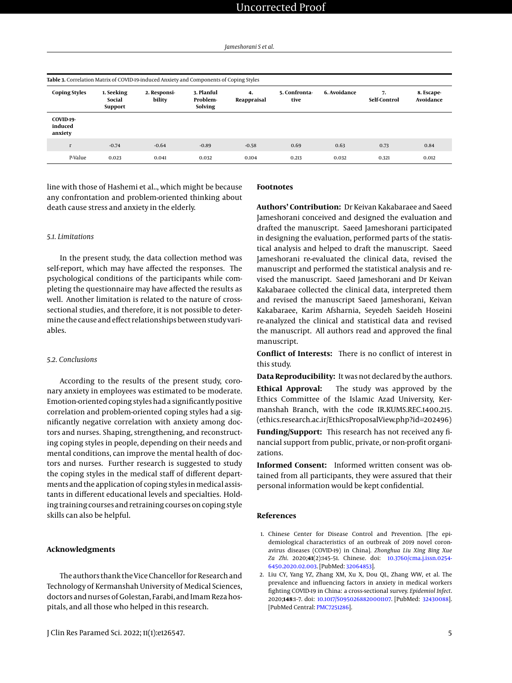<span id="page-4-2"></span>

| <b>Coping Styles</b>            | 1. Seeking<br>Social<br><b>Support</b> | 2. Responsi-<br>bility | 3. Planful<br>Problem-<br>Solving | 4.<br>Reappraisal | 5. Confronta-<br>tive | 6. Avoidance | 7.<br>Self-Control | 8. Escape-<br>Avoidance |
|---------------------------------|----------------------------------------|------------------------|-----------------------------------|-------------------|-----------------------|--------------|--------------------|-------------------------|
| COVID-19-<br>induced<br>anxiety |                                        |                        |                                   |                   |                       |              |                    |                         |
| $\Gamma$                        | $-0.74$                                | $-0.64$                | $-0.89$                           | $-0.58$           | 0.69                  | 0.63         | 0.73               | 0.84                    |
| P-Value                         | 0.023                                  | 0.041                  | 0.032                             | 0.104             | 0.213                 | 0.032        | 0.321              | 0.012                   |

line with those of Hashemi et al.., which might be because any confrontation and problem-oriented thinking about death cause stress and anxiety in the elderly.

#### *5.1. Limitations*

In the present study, the data collection method was self-report, which may have affected the responses. The psychological conditions of the participants while completing the questionnaire may have affected the results as well. Another limitation is related to the nature of crosssectional studies, and therefore, it is not possible to determine the cause and effect relationships between study variables.

#### *5.2. Conclusions*

According to the results of the present study, coronary anxiety in employees was estimated to be moderate. Emotion-oriented coping styles had a significantly positive correlation and problem-oriented coping styles had a significantly negative correlation with anxiety among doctors and nurses. Shaping, strengthening, and reconstructing coping styles in people, depending on their needs and mental conditions, can improve the mental health of doctors and nurses. Further research is suggested to study the coping styles in the medical staff of different departments and the application of coping styles in medical assistants in different educational levels and specialties. Holding training courses and retraining courses on coping style skills can also be helpful.

# **Acknowledgments**

The authors thank the Vice Chancellor for Research and Technology of Kermanshah University of Medical Sciences, doctors and nurses of Golestan, Farabi, and Imam Reza hospitals, and all those who helped in this research.

## **Footnotes**

**Authors' Contribution:** Dr Keivan Kakabaraee and Saeed Jameshorani conceived and designed the evaluation and drafted the manuscript. Saeed Jameshorani participated in designing the evaluation, performed parts of the statistical analysis and helped to draft the manuscript. Saeed Jameshorani re-evaluated the clinical data, revised the manuscript and performed the statistical analysis and revised the manuscript. Saeed Jameshorani and Dr Keivan Kakabaraee collected the clinical data, interpreted them and revised the manuscript Saeed Jameshorani, Keivan Kakabaraee, Karim Afsharnia, Seyedeh Saeideh Hoseini re-analyzed the clinical and statistical data and revised the manuscript. All authors read and approved the final manuscript.

**Conflict of Interests:** There is no conflict of interest in this study.

**Data Reproducibility:** It was not declared by the authors. **Ethical Approval:** The study was approved by the Ethics Committee of the Islamic Azad University, Kermanshah Branch, with the code IR.KUMS.REC.1400.215. (ethics.research.ac.ir/EthicsProposalView.php?id=202496)

**Funding/Support:** This research has not received any financial support from public, private, or non-profit organizations.

**Informed Consent:** Informed written consent was obtained from all participants, they were assured that their personal information would be kept confidential.

# **References**

- <span id="page-4-0"></span>1. Chinese Center for Disease Control and Prevention. [The epidemiological characteristics of an outbreak of 2019 novel coronavirus diseases (COVID-19) in China]. *Zhonghua Liu Xing Bing Xue Za Zhi*. 2020;**41**(2):145–51. Chinese. doi: [10.3760/cma.j.issn.0254-](http://dx.doi.org/10.3760/cma.j.issn.0254-6450.2020.02.003) [6450.2020.02.003.](http://dx.doi.org/10.3760/cma.j.issn.0254-6450.2020.02.003) [PubMed: [32064853\]](http://www.ncbi.nlm.nih.gov/pubmed/32064853).
- <span id="page-4-1"></span>2. Liu CY, Yang YZ, Zhang XM, Xu X, Dou QL, Zhang WW, et al. The prevalence and influencing factors in anxiety in medical workers fighting COVID-19 in China: a cross-sectional survey. *Epidemiol Infect*. 2020;**148**:1–7. doi: [10.1017/S0950268820001107.](http://dx.doi.org/10.1017/S0950268820001107) [PubMed: [32430088\]](http://www.ncbi.nlm.nih.gov/pubmed/32430088). [PubMed Central: [PMC7251286\]](https://www.ncbi.nlm.nih.gov/pmc/articles/PMC7251286).